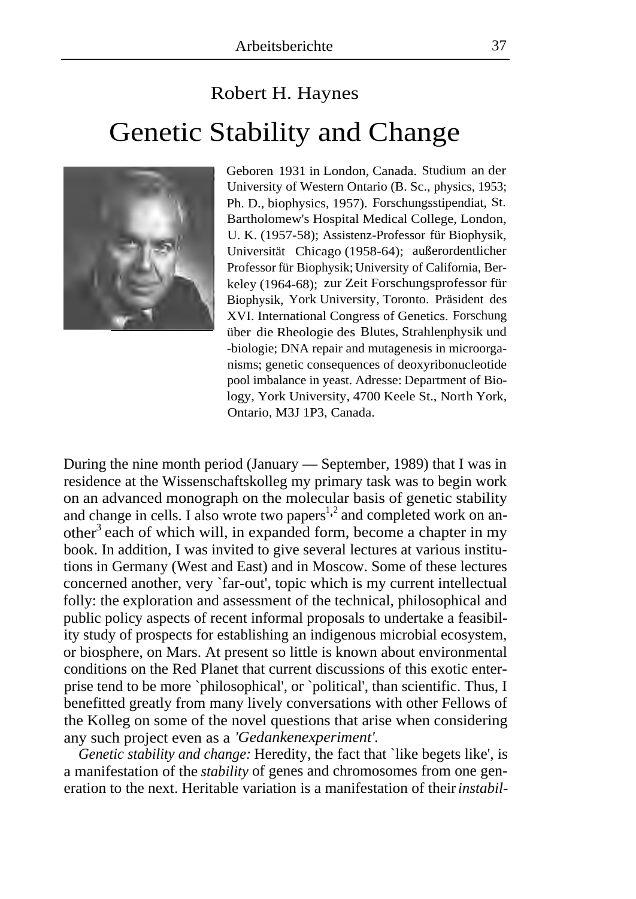## Robert H. Haynes Genetic Stability and Change



Geboren 1931 in London, Canada. Studium an der University of Western Ontario (B. Sc., physics, 1953; Ph. D., biophysics, 1957). Forschungsstipendiat, St. Bartholomew's Hospital Medical College, London, U. K. (1957-58); Assistenz-Professor für Biophysik, Universität Chicago (1958-64); außerordentlicher Professor für Biophysik; University of California, Berkeley (1964-68); zur Zeit Forschungsprofessor für Biophysik, York University, Toronto. Präsident des XVI. International Congress of Genetics. Forschung über die Rheologie des Blutes, Strahlenphysik und -biologie; DNA repair and mutagenesis in microorganisms; genetic consequences of deoxyribonucleotide pool imbalance in yeast. Adresse: Department of Biology, York University, 4700 Keele St., North York, Ontario, M3J 1P3, Canada.

During the nine month period (January — September, 1989) that I was in residence at the Wissenschaftskolleg my primary task was to begin work on an advanced monograph on the molecular basis of genetic stability and change in cells. I also wrote two papers<sup>1,2</sup> and completed work on another<sup>3</sup> each of which will, in expanded form, become a chapter in my book. In addition, I was invited to give several lectures at various institutions in Germany (West and East) and in Moscow. Some of these lectures concerned another, very `far-out', topic which is my current intellectual folly: the exploration and assessment of the technical, philosophical and public policy aspects of recent informal proposals to undertake a feasibility study of prospects for establishing an indigenous microbial ecosystem, or biosphere, on Mars. At present so little is known about environmental conditions on the Red Planet that current discussions of this exotic enterprise tend to be more `philosophical', or `political', than scientific. Thus, I benefitted greatly from many lively conversations with other Fellows of the Kolleg on some of the novel questions that arise when considering any such project even as a *'Gedankenexperiment'.* 

*Genetic stability and change:* Heredity, the fact that `like begets like', is a manifestation of the *stability* of genes and chromosomes from one generation to the next. Heritable variation is a manifestation of their *instabil-*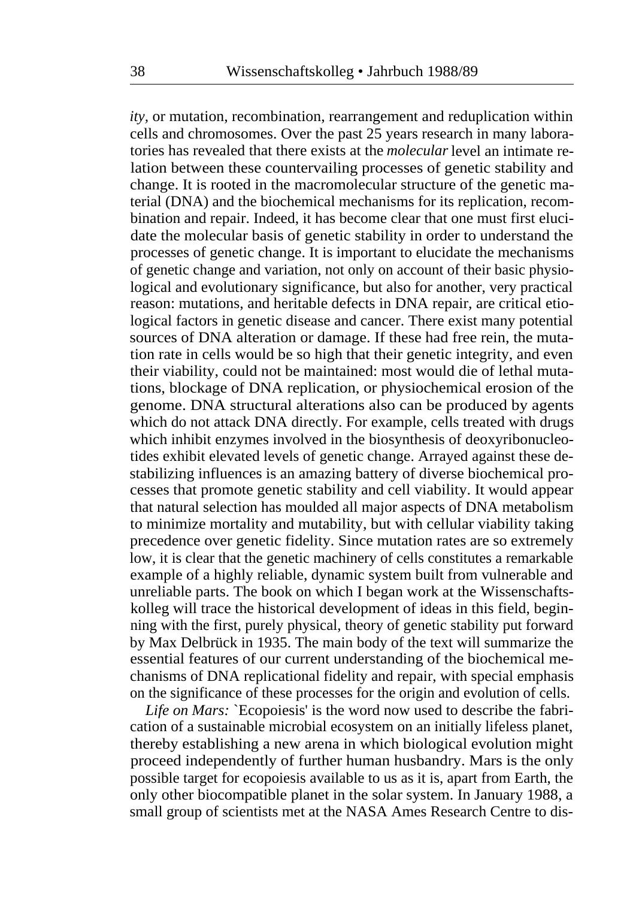*ity,* or mutation, recombination, rearrangement and reduplication within cells and chromosomes. Over the past 25 years research in many laboratories has revealed that there exists at the *molecular* level an intimate relation between these countervailing processes of genetic stability and change. It is rooted in the macromolecular structure of the genetic material (DNA) and the biochemical mechanisms for its replication, recombination and repair. Indeed, it has become clear that one must first elucidate the molecular basis of genetic stability in order to understand the processes of genetic change. It is important to elucidate the mechanisms of genetic change and variation, not only on account of their basic physiological and evolutionary significance, but also for another, very practical reason: mutations, and heritable defects in DNA repair, are critical etiological factors in genetic disease and cancer. There exist many potential sources of DNA alteration or damage. If these had free rein, the mutation rate in cells would be so high that their genetic integrity, and even their viability, could not be maintained: most would die of lethal mutations, blockage of DNA replication, or physiochemical erosion of the genome. DNA structural alterations also can be produced by agents which do not attack DNA directly. For example, cells treated with drugs which inhibit enzymes involved in the biosynthesis of deoxyribonucleotides exhibit elevated levels of genetic change. Arrayed against these destabilizing influences is an amazing battery of diverse biochemical processes that promote genetic stability and cell viability. It would appear that natural selection has moulded all major aspects of DNA metabolism to minimize mortality and mutability, but with cellular viability taking precedence over genetic fidelity. Since mutation rates are so extremely low, it is clear that the genetic machinery of cells constitutes a remarkable example of a highly reliable, dynamic system built from vulnerable and unreliable parts. The book on which I began work at the Wissenschaftskolleg will trace the historical development of ideas in this field, beginning with the first, purely physical, theory of genetic stability put forward by Max Delbrück in 1935. The main body of the text will summarize the essential features of our current understanding of the biochemical mechanisms of DNA replicational fidelity and repair, with special emphasis on the significance of these processes for the origin and evolution of cells.

*Life on Mars:* `Ecopoiesis' is the word now used to describe the fabrication of a sustainable microbial ecosystem on an initially lifeless planet, thereby establishing a new arena in which biological evolution might proceed independently of further human husbandry. Mars is the only possible target for ecopoiesis available to us as it is, apart from Earth, the only other biocompatible planet in the solar system. In January 1988, a small group of scientists met at the NASA Ames Research Centre to dis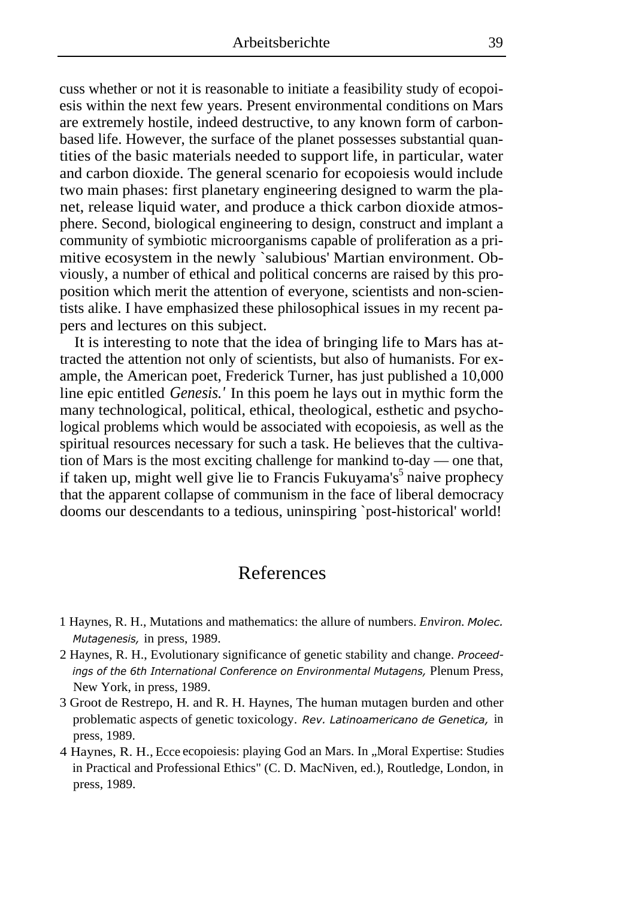cuss whether or not it is reasonable to initiate a feasibility study of ecopoiesis within the next few years. Present environmental conditions on Mars are extremely hostile, indeed destructive, to any known form of carbonbased life. However, the surface of the planet possesses substantial quantities of the basic materials needed to support life, in particular, water and carbon dioxide. The general scenario for ecopoiesis would include two main phases: first planetary engineering designed to warm the planet, release liquid water, and produce a thick carbon dioxide atmosphere. Second, biological engineering to design, construct and implant a community of symbiotic microorganisms capable of proliferation as a primitive ecosystem in the newly `salubious' Martian environment. Obviously, a number of ethical and political concerns are raised by this proposition which merit the attention of everyone, scientists and non-scientists alike. I have emphasized these philosophical issues in my recent papers and lectures on this subject.

It is interesting to note that the idea of bringing life to Mars has attracted the attention not only of scientists, but also of humanists. For example, the American poet, Frederick Turner, has just published a 10,000 line epic entitled *Genesis.'* In this poem he lays out in mythic form the many technological, political, ethical, theological, esthetic and psychological problems which would be associated with ecopoiesis, as well as the spiritual resources necessary for such a task. He believes that the cultivation of Mars is the most exciting challenge for mankind to-day — one that, if taken up, might well give lie to Francis Fukuyama's<sup>5</sup> naive prophecy that the apparent collapse of communism in the face of liberal democracy dooms our descendants to a tedious, uninspiring `post-historical' world!

## References

- 1 Haynes, R. H., Mutations and mathematics: the allure of numbers. *Environ. Molec. Mutagenesis,* in press, 1989.
- 2 Haynes, R. H., Evolutionary significance of genetic stability and change. *Proceedings of the 6th International Conference on Environmental Mutagens,* Plenum Press, New York, in press, 1989.
- 3 Groot de Restrepo, H. and R. H. Haynes, The human mutagen burden and other problematic aspects of genetic toxicology. *Rev. Latinoamericano de Genetica,* in press, 1989.
- 4 Haynes, R. H., Ecce ecopoiesis: playing God an Mars. In "Moral Expertise: Studies in Practical and Professional Ethics" (C. D. MacNiven, ed.), Routledge, London, in press, 1989.